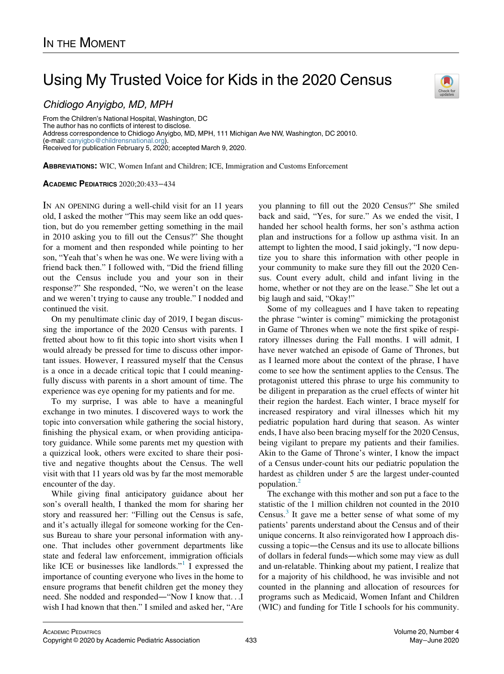# Using My Trusted Voice for Kids in the 2020 Census

# Chidiogo Anyigbo, MD, MPH

From the Children's National Hospital, Washington, DC The author has no conflicts of interest to disclose. Address correspondence to Chidiogo Anyigbo, MD, MPH, 111 Michigan Ave NW, Washington, DC 20010. (e-mail: [canyigbo@childrensnational.org](mailto:canyigbo@childrensnational.org)). Received for publication February 5, 2020; accepted March 9, 2020.

ABBREVIATIONS: WIC, Women Infant and Children; ICE, Immigration and Customs Enforcement

## ACADEMIC PEDIATRICS 2020;20:433−434

IN AN OPENING during a well-child visit for an 11 years old, I asked the mother "This may seem like an odd question, but do you remember getting something in the mail in 2010 asking you to fill out the Census?" She thought for a moment and then responded while pointing to her son, "Yeah that's when he was one. We were living with a friend back then." I followed with, "Did the friend filling out the Census include you and your son in their response?" She responded, "No, we weren't on the lease and we weren't trying to cause any trouble." I nodded and continued the visit.

On my penultimate clinic day of 2019, I began discussing the importance of the 2020 Census with parents. I fretted about how to fit this topic into short visits when I would already be pressed for time to discuss other important issues. However, I reassured myself that the Census is a once in a decade critical topic that I could meaningfully discuss with parents in a short amount of time. The experience was eye opening for my patients and for me.

To my surprise, I was able to have a meaningful exchange in two minutes. I discovered ways to work the topic into conversation while gathering the social history, finishing the physical exam, or when providing anticipatory guidance. While some parents met my question with a quizzical look, others were excited to share their positive and negative thoughts about the Census. The well visit with that 11 years old was by far the most memorable encounter of the day.

While giving final anticipatory guidance about her son's overall health, I thanked the mom for sharing her story and reassured her: "Filling out the Census is safe, and it's actually illegal for someone working for the Census Bureau to share your personal information with anyone. That includes other government departments like state and federal law enforcement, immigration officials like ICE or businesses like landlords." $\frac{1}{1}$  $\frac{1}{1}$  $\frac{1}{1}$  I expressed the importance of counting everyone who lives in the home to ensure programs that benefit children get the money they need. She nodded and responded—"Now I know that...I wish I had known that then." I smiled and asked her, "Are you planning to fill out the 2020 Census?" She smiled back and said, "Yes, for sure." As we ended the visit, I handed her school health forms, her son's asthma action plan and instructions for a follow up asthma visit. In an attempt to lighten the mood, I said jokingly, "I now deputize you to share this information with other people in your community to make sure they fill out the 2020 Census. Count every adult, child and infant living in the home, whether or not they are on the lease." She let out a big laugh and said, "Okay!"

Some of my colleagues and I have taken to repeating the phrase "winter is coming" mimicking the protagonist in Game of Thrones when we note the first spike of respiratory illnesses during the Fall months. I will admit, I have never watched an episode of Game of Thrones, but as I learned more about the context of the phrase, I have come to see how the sentiment applies to the Census. The protagonist uttered this phrase to urge his community to be diligent in preparation as the cruel effects of winter hit their region the hardest. Each winter, I brace myself for increased respiratory and viral illnesses which hit my pediatric population hard during that season. As winter ends, I have also been bracing myself for the 2020 Census, being vigilant to prepare my patients and their families. Akin to the Game of Throne's winter, I know the impact of a Census under-count hits our pediatric population the hardest as children under 5 are the largest under-counted population.[2](#page-1-1)

The exchange with this mother and son put a face to the statistic of the 1 million children not counted in the 2010 Census.<sup>[3](#page-1-2)</sup> It gave me a better sense of what some of my patients' parents understand about the Census and of their unique concerns. It also reinvigorated how I approach discussing a topic—the Census and its use to allocate billions of dollars in federal funds—which some may view as dull and un-relatable. Thinking about my patient, I realize that for a majority of his childhood, he was invisible and not counted in the planning and allocation of resources for programs such as Medicaid, Women Infant and Children (WIC) and funding for Title I schools for his community.